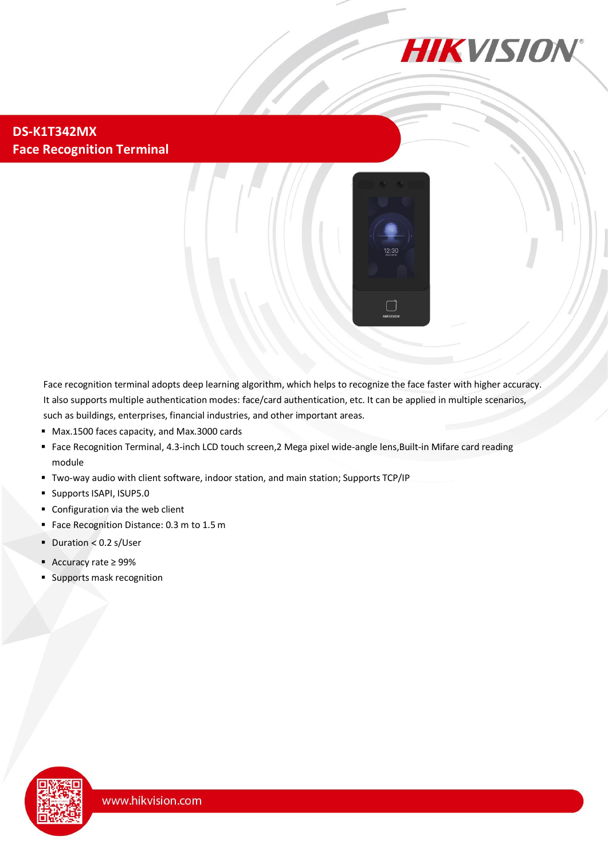

#### **DS-K1T342MX Face Recognition Terminal**



Face recognition terminal adopts deep learning algorithm, which helps to recognize the face faster with higher accuracy. It also supports multiple authentication modes: face/card authentication, etc. It can be applied in multiple scenarios, such as buildings, enterprises, financial industries, and other important areas.

- Max.1500 faces capacity, and Max.3000 cards
- Face Recognition Terminal, 4.3-inch LCD touch screen,2 Mega pixel wide-angle lens,Built-in Mifare card reading module
- Two-way audio with client software, indoor station, and main station; Supports TCP/IP
- **Supports ISAPI, ISUP5.0**
- Configuration via the web client
- **Face Recognition Distance: 0.3 m to 1.5 m**
- $\blacksquare$  Duration < 0.2 s/User
- Accuracy rate ≥ 99%
- Supports mask recognition

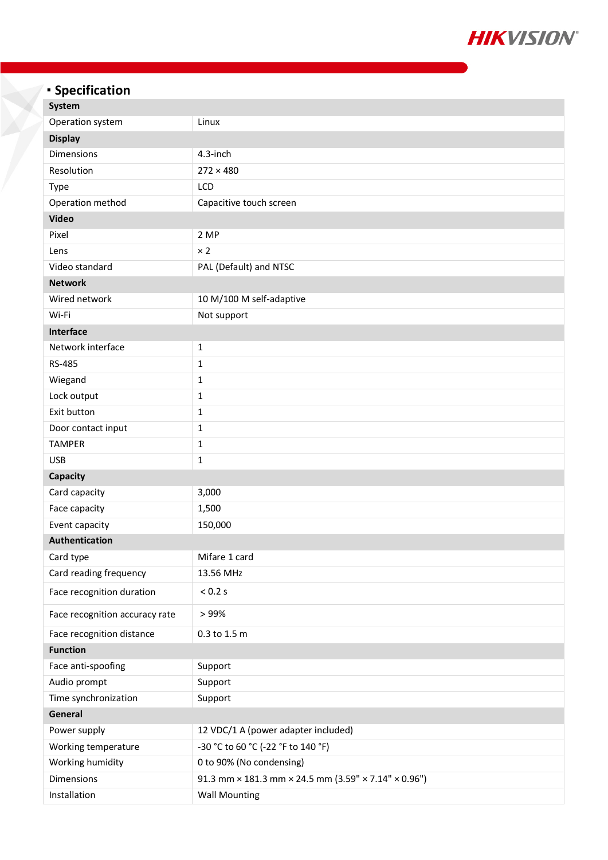

# **Specification**

| <b>System</b>                  |                                                      |  |
|--------------------------------|------------------------------------------------------|--|
| Operation system               | Linux                                                |  |
| <b>Display</b>                 |                                                      |  |
| Dimensions                     | 4.3-inch                                             |  |
| Resolution                     | $272 \times 480$                                     |  |
| <b>Type</b>                    | LCD                                                  |  |
| Operation method               | Capacitive touch screen                              |  |
| <b>Video</b>                   |                                                      |  |
| Pixel                          | 2 MP                                                 |  |
| Lens                           | $\times 2$                                           |  |
| Video standard                 | PAL (Default) and NTSC                               |  |
| <b>Network</b>                 |                                                      |  |
| Wired network                  | 10 M/100 M self-adaptive                             |  |
| Wi-Fi                          | Not support                                          |  |
| Interface                      |                                                      |  |
| Network interface              | 1                                                    |  |
| RS-485                         | 1                                                    |  |
| Wiegand                        | $\mathbf 1$                                          |  |
| Lock output                    | $\mathbf 1$                                          |  |
| Exit button                    | $\mathbf{1}$                                         |  |
| Door contact input             | 1                                                    |  |
| <b>TAMPER</b>                  | $\mathbf{1}$                                         |  |
| <b>USB</b>                     | $\mathbf 1$                                          |  |
| Capacity                       |                                                      |  |
| Card capacity                  | 3,000                                                |  |
| Face capacity                  | 1,500                                                |  |
| Event capacity                 | 150,000                                              |  |
| Authentication                 |                                                      |  |
| Card type                      | Mifare 1 card                                        |  |
| Card reading frequency         | 13.56 MHz                                            |  |
| Face recognition duration      | < 0.2 s                                              |  |
| Face recognition accuracy rate | >99%                                                 |  |
| Face recognition distance      | 0.3 to 1.5 m                                         |  |
| <b>Function</b>                |                                                      |  |
| Face anti-spoofing             | Support                                              |  |
| Audio prompt                   | Support                                              |  |
| Time synchronization           | Support                                              |  |
| General                        |                                                      |  |
| Power supply                   | 12 VDC/1 A (power adapter included)                  |  |
| Working temperature            | -30 °C to 60 °C (-22 °F to 140 °F)                   |  |
| Working humidity               | 0 to 90% (No condensing)                             |  |
| Dimensions                     | 91.3 mm × 181.3 mm × 24.5 mm (3.59" × 7.14" × 0.96") |  |
| Installation                   | <b>Wall Mounting</b>                                 |  |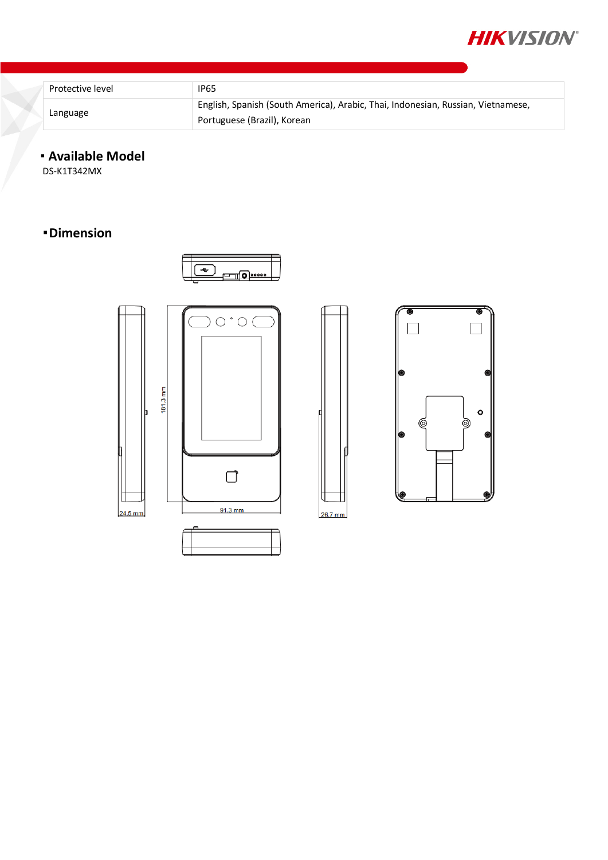

| Protective level | <b>IP65</b>                                                                                                     |
|------------------|-----------------------------------------------------------------------------------------------------------------|
| Language         | English, Spanish (South America), Arabic, Thai, Indonesian, Russian, Vietnamese,<br>Portuguese (Brazil), Korean |

### **Available Model**

DS-K1T342MX

## **Dimension**







26.7 mm

 $\overline{\bullet}$ 

 $\circ$